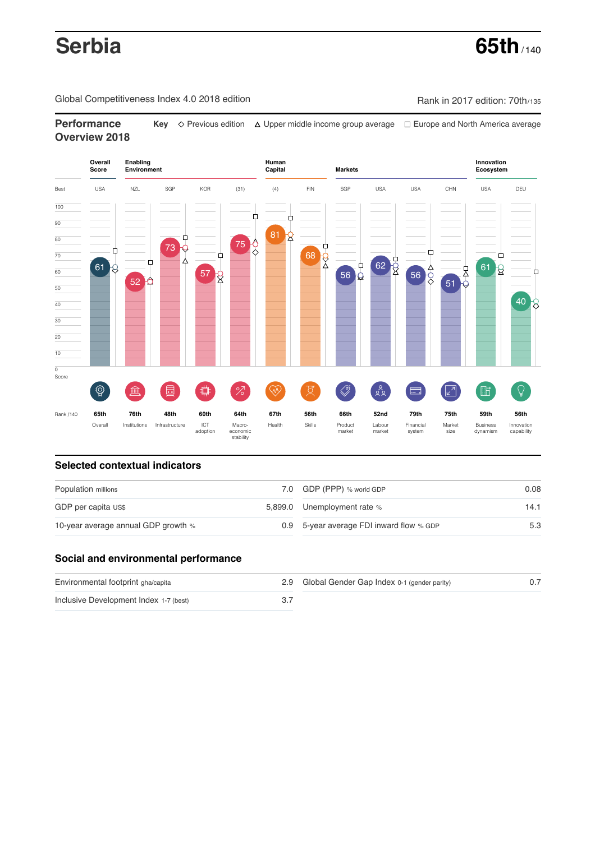# **Serbia 65th**

Global Competitiveness Index 4.0 2018 edition Company Rank in 2017 edition: 70th/135

**Performance** Key  $\Diamond$  Previous edition △ Upper middle income group average □ Europe and North America average **Overview 2018**



# **Selected contextual indicators**

| Population millions                 | 7.0 GDP (PPP) % world GDP                | 0.08 |
|-------------------------------------|------------------------------------------|------|
| GDP per capita US\$                 | 5,899.0 Unemployment rate %              | 14.1 |
| 10-year average annual GDP growth % | 0.9 5-year average FDI inward flow % GDP | 5.3  |

# **Social and environmental performance**

| Environmental footprint gha/capita     | 2.9 Global Gender Gap Index 0-1 (gender parity) |  |
|----------------------------------------|-------------------------------------------------|--|
| Inclusive Development Index 1-7 (best) |                                                 |  |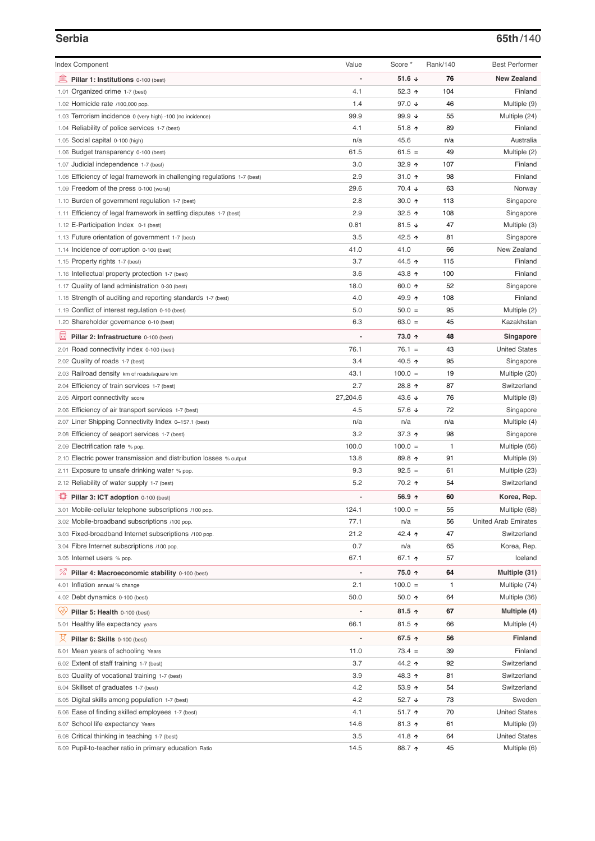### **Serbia 65th**/140

| <b>Index Component</b>                                                   | Value          | Score *                  | Rank/140 | <b>Best Performer</b>       |
|--------------------------------------------------------------------------|----------------|--------------------------|----------|-----------------------------|
| 皿<br>Pillar 1: Institutions 0-100 (best)                                 |                | 51.6 $\sqrt{ }$          | 76       | <b>New Zealand</b>          |
| 1.01 Organized crime 1-7 (best)                                          | 4.1            | 52.3 $\uparrow$          | 104      | Finland                     |
| 1.02 Homicide rate /100,000 pop.                                         | 1.4            | 97.0 $\sqrt{ }$          | 46       | Multiple (9)                |
| 1.03 Terrorism incidence 0 (very high) -100 (no incidence)               | 99.9           | 99.9 $\sqrt{ }$          | 55       | Multiple (24)               |
| 1.04 Reliability of police services 1-7 (best)                           | 4.1            | 51.8 $\uparrow$          | 89       | Finland                     |
| 1.05 Social capital 0-100 (high)                                         | n/a            | 45.6                     | n/a      | Australia                   |
| 1.06 Budget transparency 0-100 (best)                                    | 61.5           | $61.5 =$                 | 49       | Multiple (2)                |
| 1.07 Judicial independence 1-7 (best)                                    | 3.0            | 32.9 ↑                   | 107      | Finland                     |
| 1.08 Efficiency of legal framework in challenging regulations 1-7 (best) | 2.9            | 31.0 $\uparrow$          | 98       | Finland                     |
| 1.09 Freedom of the press 0-100 (worst)                                  | 29.6           | $70.4 \; \downarrow$     | 63       | Norway                      |
| 1.10 Burden of government regulation 1-7 (best)                          | 2.8            | $30.0 \text{ } \Upsilon$ | 113      | Singapore                   |
| 1.11 Efficiency of legal framework in settling disputes 1-7 (best)       | 2.9            | 32.5 $\uparrow$          | 108      | Singapore                   |
| 1.12 E-Participation Index 0-1 (best)                                    | 0.81           | 81.5 $\sqrt{ }$          | 47       | Multiple (3)                |
| 1.13 Future orientation of government 1-7 (best)                         | 3.5            | 42.5 ↑                   | 81       | Singapore                   |
| 1.14 Incidence of corruption 0-100 (best)                                | 41.0           | 41.0                     | 66       | New Zealand                 |
| 1.15 Property rights 1-7 (best)                                          | 3.7            | 44.5 ↑                   | 115      | Finland                     |
| 1.16 Intellectual property protection 1-7 (best)                         | 3.6            | 43.8 ↑                   | 100      | Finland                     |
| 1.17 Quality of land administration 0-30 (best)                          | 18.0           | 60.0 ↑                   | 52       | Singapore                   |
| 1.18 Strength of auditing and reporting standards 1-7 (best)             | 4.0            | 49.9 ↑                   | 108      | Finland                     |
| 1.19 Conflict of interest regulation 0-10 (best)                         | 5.0            | $50.0 =$                 | 95       | Multiple (2)                |
| 1.20 Shareholder governance 0-10 (best)                                  | 6.3            | $63.0 =$                 | 45       | Kazakhstan                  |
|                                                                          |                |                          |          |                             |
| 圓<br>Pillar 2: Infrastructure 0-100 (best)                               |                | 73.0 ↑                   | 48       | Singapore                   |
| 2.01 Road connectivity index 0-100 (best)                                | 76.1           | $76.1 =$                 | 43       | <b>United States</b>        |
| 2.02 Quality of roads 1-7 (best)                                         | 3.4            | 40.5 ↑                   | 95       | Singapore                   |
| 2.03 Railroad density km of roads/square km                              | 43.1           | $100.0 =$                | 19       | Multiple (20)               |
| 2.04 Efficiency of train services 1-7 (best)                             | 2.7            | 28.8 ↑                   | 87       | Switzerland                 |
| 2.05 Airport connectivity score                                          | 27,204.6       | 43.6 $\sqrt{ }$          | 76       | Multiple (8)                |
| 2.06 Efficiency of air transport services 1-7 (best)                     | 4.5            | 57.6 ↓                   | 72       | Singapore                   |
| 2.07 Liner Shipping Connectivity Index 0-157.1 (best)                    | n/a            | n/a                      | n/a      | Multiple (4)                |
| 2.08 Efficiency of seaport services 1-7 (best)                           | 3.2            | 37.3 $\uparrow$          | 98       | Singapore                   |
| 2.09 Electrification rate % pop.                                         | 100.0          | $100.0 =$                | 1        | Multiple (66)               |
| 2.10 Electric power transmission and distribution losses % output        | 13.8           | 89.8 ↑                   | 91       | Multiple (9)                |
| 2.11 Exposure to unsafe drinking water % pop.                            | 9.3            | $92.5 =$                 | 61       | Multiple (23)               |
| 2.12 Reliability of water supply 1-7 (best)                              | 5.2            | 70.2 ↑                   | 54       | Switzerland                 |
| ₽<br>Pillar 3: ICT adoption 0-100 (best)                                 |                | 56.9 ↑                   | 60       | Korea, Rep.                 |
| 3.01 Mobile-cellular telephone subscriptions /100 pop.                   | 124.1          | $100.0 =$                | 55       | Multiple (68)               |
| 3.02 Mobile-broadband subscriptions /100 pop.                            | 77.1           | n/a                      | 56       | <b>United Arab Emirates</b> |
| 3.03 Fixed-broadband Internet subscriptions /100 pop.                    | 21.2           | 42.4 ↑                   | 47       | Switzerland                 |
| 3.04 Fibre Internet subscriptions /100 pop.                              | 0.7            | n/a                      | 65       | Korea, Rep.                 |
| 3.05 Internet users % pop.                                               | 67.1           | 67.1 ↑                   | 57       | Iceland                     |
| <sup>%</sup> Pillar 4: Macroeconomic stability 0-100 (best)              | $\overline{a}$ | 75.0 ↑                   | 64       | Multiple (31)               |
| 4.01 Inflation annual % change                                           | 2.1            | $100.0 =$                | 1        | Multiple (74)               |
| 4.02 Debt dynamics 0-100 (best)                                          | 50.0           | 50.0 ↑                   | 64       | Multiple (36)               |
|                                                                          |                |                          |          |                             |
| ųÿ<br>Pillar 5: Health 0-100 (best)                                      |                | 81.5 $\uparrow$          | 67       | Multiple (4)                |
| 5.01 Healthy life expectancy years                                       | 66.1           | 81.5 个                   | 66       | Multiple (4)                |
| 성<br>Pillar 6: Skills 0-100 (best)                                       |                | 67.5 ↑                   | 56       | <b>Finland</b>              |
| 6.01 Mean years of schooling Years                                       | 11.0           | $73.4 =$                 | 39       | Finland                     |
| 6.02 Extent of staff training 1-7 (best)                                 | 3.7            | 44.2 ተ                   | 92       | Switzerland                 |
| 6.03 Quality of vocational training 1-7 (best)                           | 3.9            | 48.3 ↑                   | 81       | Switzerland                 |
| 6.04 Skillset of graduates 1-7 (best)                                    | 4.2            | 53.9 个                   | 54       | Switzerland                 |
| 6.05 Digital skills among population 1-7 (best)                          | 4.2            | 52.7 $\sqrt{ }$          | 73       | Sweden                      |
| 6.06 Ease of finding skilled employees 1-7 (best)                        | 4.1            | $51.7$ 1                 | 70       | <b>United States</b>        |
| 6.07 School life expectancy Years                                        | 14.6           | $81.3$ ↑                 | 61       | Multiple (9)                |
| 6.08 Critical thinking in teaching 1-7 (best)                            | 3.5            | 41.8 ↑                   | 64       | <b>United States</b>        |
| 6.09 Pupil-to-teacher ratio in primary education Ratio                   | 14.5           | 88.7 ↑                   | 45       | Multiple (6)                |